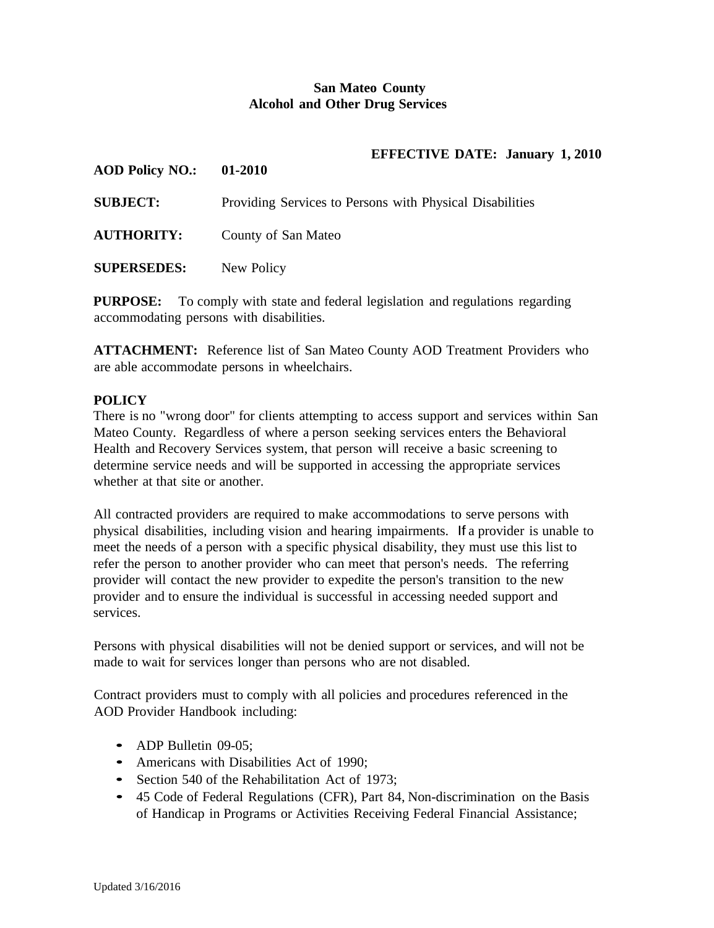## **San Mateo County Alcohol and Other Drug Services**

## **EFFECTIVE DATE: January 1, 2010**

| <b>AOD Policy NO.:</b> | 01-2010                                                  |
|------------------------|----------------------------------------------------------|
| <b>SUBJECT:</b>        | Providing Services to Persons with Physical Disabilities |
| <b>AUTHORITY:</b>      | County of San Mateo                                      |
| <b>SUPERSEDES:</b>     | New Policy                                               |

**PURPOSE:** To comply with state and federal legislation and regulations regarding accommodating persons with disabilities.

**ATTACHMENT:** Reference list of San Mateo County AOD Treatment Providers who are able accommodate persons in wheelchairs.

## **POLICY**

There is no "wrong door" for clients attempting to access support and services within San Mateo County. Regardless of where a person seeking services enters the Behavioral Health and Recovery Services system, that person will receive a basic screening to determine service needs and will be supported in accessing the appropriate services whether at that site or another.

All contracted providers are required to make accommodations to serve persons with physical disabilities, including vision and hearing impairments. If a provider is unable to meet the needs of a person with a specific physical disability, they must use this list to refer the person to another provider who can meet that person's needs. The referring provider will contact the new provider to expedite the person's transition to the new provider and to ensure the individual is successful in accessing needed support and services.

Persons with physical disabilities will not be denied support or services, and will not be made to wait for services longer than persons who are not disabled.

Contract providers must to comply with all policies and procedures referenced in the AOD Provider Handbook including:

- ADP Bulletin 09-05;
- Americans with Disabilities Act of 1990;
- Section 540 of the Rehabilitation Act of 1973;
- <sup>45</sup> Code of Federal Regulations (CFR), Part 84, Non-discrimination on the Basis of Handicap in Programs or Activities Receiving Federal Financial Assistance;